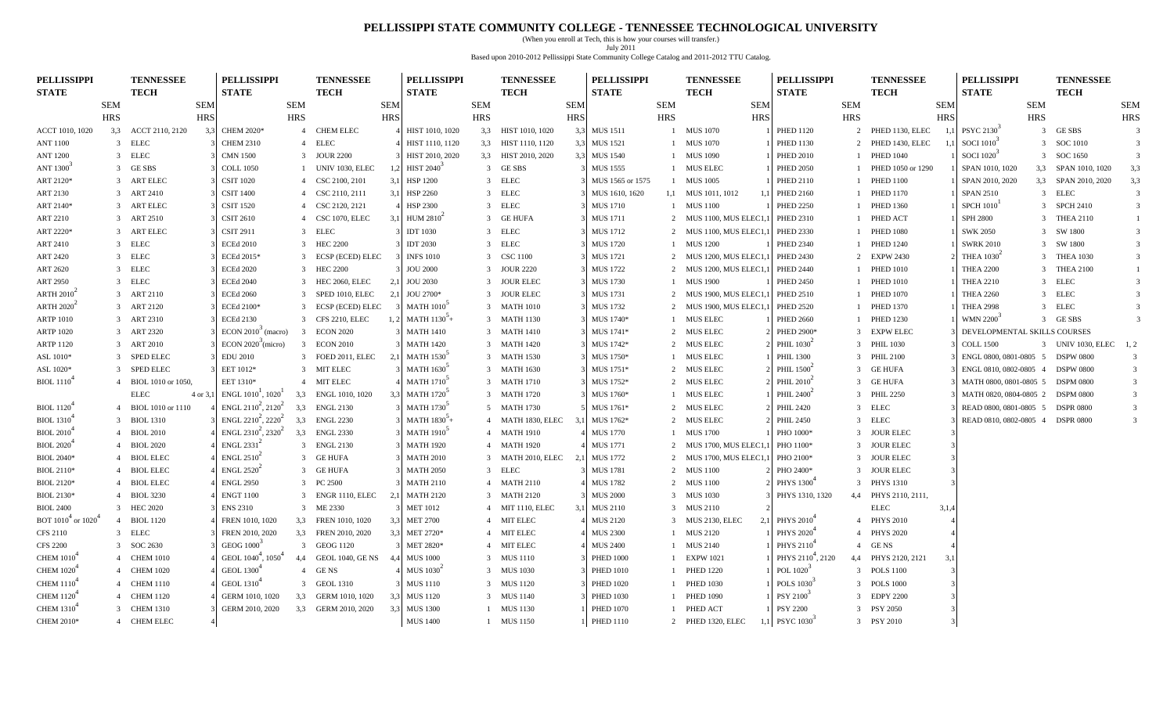### **PELLISSIPPI STATE COMMUNITY COLLEGE - TENNESSEE TECHNOLOGICAL UNIVERSITY**

(When you enroll at Tech, this is how your courses will transfer.) July 2011 Based upon 2010-2012 Pellissippi State Community College Catalog and 2011-2012 TTU Catalog.

| <b>PELLISSIPPI</b>            |                | <b>TENNESSEE</b>   |            | <b>PELLISSIPPI</b>                         |                         | <b>TENNESSEE</b>        |                  | <b>PELLISSIPPI</b>            |            | <b>TENNESSEE</b>      |            | <b>PELLISSIPPI</b>              |            | <b>TENNESSEE</b>       | <b>PELLISSIPPI</b>            |                | <b>TENNESSEE</b>     |            | <b>PELLISSIPPI</b>               |            | <b>TENNESSEE</b>    |                         |
|-------------------------------|----------------|--------------------|------------|--------------------------------------------|-------------------------|-------------------------|------------------|-------------------------------|------------|-----------------------|------------|---------------------------------|------------|------------------------|-------------------------------|----------------|----------------------|------------|----------------------------------|------------|---------------------|-------------------------|
| <b>STATE</b>                  |                | <b>TECH</b>        |            | <b>STATE</b>                               |                         | <b>TECH</b>             |                  | <b>STATE</b>                  |            | <b>TECH</b>           |            | $\operatorname{\mathbf{STATE}}$ |            | <b>TECH</b>            | <b>STATE</b>                  |                | <b>TECH</b>          |            | <b>STATE</b>                     |            | <b>TECH</b>         |                         |
|                               | <b>SEM</b>     |                    | <b>SEM</b> |                                            | <b>SEM</b>              |                         | <b>SEM</b>       |                               | <b>SEM</b> |                       | <b>SEM</b> |                                 | <b>SEM</b> | <b>SEM</b>             |                               | <b>SEM</b>     |                      | <b>SEM</b> |                                  | <b>SEM</b> |                     | <b>SEM</b>              |
|                               | <b>HRS</b>     |                    | <b>HRS</b> |                                            | <b>HRS</b>              |                         | <b>HRS</b>       |                               | <b>HRS</b> |                       | <b>HRS</b> |                                 | <b>HRS</b> | <b>HRS</b>             |                               | <b>HRS</b>     |                      | <b>HRS</b> |                                  | HRS        |                     | <b>HRS</b>              |
| ACCT 1010, 1020               | 3.3            | ACCT 2110, 2120    | 3.3        | <b>CHEM 2020*</b>                          |                         | 4 CHEM ELEC             |                  | HIST 1010, 1020               | 3,3        | HIST 1010, 1020       | 3.3        | <b>MUS 1511</b>                 |            | 1 MUS 1070             | <b>PHED 1120</b>              |                | 2 PHED 1130, ELEC    | - 1.1      | PSYC 2130 <sup>3</sup>           |            | 3 GESBS             | $\overline{\mathbf{3}}$ |
| <b>ANT 1100</b>               |                | 3 ELEC             |            | <b>CHEM 2310</b>                           |                         | 4 ELEC                  |                  | HIST 1110, 1120               |            | 3,3 HIST 1110, 1120   | 3.3        | <b>MUS 1521</b>                 |            | 1 MUS 1070             | <b>PHED 1130</b>              |                | 2 PHED 1430, ELEC    |            | <b>SOCI</b> 1010 <sup>3</sup>    |            | 3 SOC 1010          | 3                       |
| <b>ANT 1200</b>               |                | 3 ELEC             |            | <b>CMN 1500</b>                            |                         | 3 JOUR 2200             |                  | HIST 2010, 2020               |            | 3,3 HIST 2010, 2020   | 3.3        | <b>MUS 1540</b>                 |            | 1 MUS 1090             | <b>PHED 2010</b>              |                | <b>PHED 1040</b>     |            | <b>SOCI</b> 1020 <sup>°</sup>    |            | 3 SOC 1650          | 3                       |
| ANT 1300 <sup>3</sup>         |                | 3 GESBS            |            | <b>COLL 1050</b>                           |                         | <b>UNIV 1030, ELEC</b>  | 1.2              | <b>HIST 2040</b>              |            | 3 GESBS               |            | <b>MUS 1555</b>                 |            | 1 MUS ELEC             | <b>PHED 2050</b>              |                | PHED 1050 or 1290    |            | SPAN 1010, 1020                  |            | 3,3 SPAN 1010, 1020 | 3,3                     |
| ART 2120*                     |                | 3 ART ELEC         |            | <b>CSIT 1020</b>                           |                         | 4 CSC 2100, 2101        | 3,1              | <b>HSP 1200</b>               |            | 3 ELEC                |            | MUS 1565 or 1575                |            | 1 MUS 1005             | <b>PHED 2110</b>              |                | <b>PHED 1100</b>     |            | SPAN 2010, 2020                  |            | 3,3 SPAN 2010, 2020 | 3,3                     |
| ART 2130                      |                | 3 ART 2410         |            | <b>CSIT 1400</b>                           |                         | 4 CSC 2110, 2111        | 3.1              | <b>HSP 2260</b>               |            | 3 ELEC                |            | MUS 1610, 1620                  |            | 1,1 MUS 1011, 1012     | <b>PHED 2160</b>              |                | <b>PHED 1170</b>     |            | <b>SPAN 2510</b>                 |            | 3 ELEC              | $\overline{3}$          |
| ART 2140*                     |                | 3 ART ELEC         |            | <b>CSIT 1520</b>                           | $\overline{4}$          | CSC 2120, 2121          |                  | <b>HSP 2300</b>               |            | 3 ELEC                |            | <b>MUS 1710</b>                 |            | 1 MUS 1100             | <b>PHED 2250</b>              |                | <b>PHED 1360</b>     |            | SPCH 1010 <sup>1</sup>           |            | 3 SPCH 2410         | $\overline{3}$          |
| ART 2210                      |                | 3 ART 2510         |            | <b>CSIT 2610</b>                           | $\overline{4}$          | CSC 1070, ELEC          | 3,1              | HUM $2810^2$                  |            | 3 GE HUFA             |            | <b>MUS 1711</b>                 |            | 2 MUS 1100, MUS ELEC1  | <b>PHED 2310</b>              |                | PHED ACT             |            | <b>SPH 2800</b>                  |            | 3 THEA 2110         | 1                       |
| ART 2220*                     |                | 3 ART ELEC         |            | <b>CSIT 2911</b>                           |                         | 3 ELEC                  |                  | <b>IDT</b> 1030               |            | 3 ELEC                |            | <b>MUS 1712</b>                 |            | 2 MUS 1100, MUS ELEC1  | <b>PHED 2330</b>              |                | <b>PHED 1080</b>     |            | <b>SWK 2050</b>                  |            | 3 SW 1800           | $\overline{3}$          |
| ART 2410                      |                | 3 ELEC             |            | <b>ECEd 2010</b>                           |                         | 3 HEC 2200              |                  | <b>IDT 2030</b>               |            | 3 ELEC                |            | <b>MUS 1720</b>                 |            | 1 MUS 1200             | <b>PHED 2340</b>              |                | <b>PHED 1240</b>     |            | <b>SWRK 2010</b>                 |            | 3 SW 1800           | 3                       |
| ART 2420                      |                | 3 ELEC             |            | ECEd 2015*                                 |                         | 3 ECSP (ECED) ELEC      |                  | <b>INFS 1010</b>              |            | 3 CSC 1100            |            | <b>MUS 1721</b>                 |            | 2 MUS 1200, MUS ELEC1  | <b>PHED 2430</b>              | $\mathcal{L}$  | <b>EXPW 2430</b>     |            | THEA $10302$                     |            | 3 THEA 1030         | $\overline{3}$          |
| ART 2620                      |                | 3 ELEC             |            | <b>ECEd 2020</b>                           |                         | 3 HEC 2200              |                  | <b>JOU 2000</b>               |            | 3 JOUR 2220           |            | <b>MUS 1722</b>                 |            | 2 MUS 1200, MUS ELEC1  | <b>PHED 2440</b>              |                | <b>PHED 1010</b>     |            | <b>THEA 2200</b>                 |            | 3 THEA 2100         |                         |
| ART 2950                      |                | 3 ELEC             |            | <b>ECEd 2040</b>                           |                         | 3 HEC 2060, ELEC        | 2.1              | <b>JOU 2030</b>               |            | 3 JOUR ELEC           |            | <b>MUS 1730</b>                 |            | 1 MUS 1900             | <b>PHED 2450</b>              |                | <b>PHED 1010</b>     |            | <b>THEA 2210</b>                 |            | 3 ELEC              |                         |
| ARTH $2010^4$                 |                | 3 ART 2110         |            | <b>ECEd 2060</b>                           | 3                       | SPED 1010, ELEC         | 2,1              | JOU 2700*                     |            | 3 JOUR ELEC           |            | <b>MUS 1731</b>                 |            | 2 MUS 1900, MUS ELEC1  | <b>PHED 2510</b>              |                | <b>PHED 1070</b>     |            | <b>THEA 2260</b>                 |            | 3 ELEC              |                         |
| ARTH $20202$                  |                | 3 ART 2120         |            | ECEd 2100*                                 |                         | 3 ECSP (ECED) ELEC      |                  | <b>MATH 1010</b>              |            | 3 MATH 1010           |            | <b>MUS 1732</b>                 |            | 2 MUS 1900, MUS ELEC1  | <b>PHED 2520</b>              |                | <b>PHED 1370</b>     |            | <b>THEA 2998</b>                 |            | 3 ELEC              | 3                       |
| ARTP 1010                     |                | 3 ART 2310         |            | <b>ECEd 2130</b>                           |                         | 3 CFS 2210, ELEC        |                  | 1, 2 MATH $1130^{3}$ +        |            | 3 MATH 1130           |            | MUS 1740*                       |            | 1 MUS ELEC             | <b>PHED 2660</b>              |                | <b>PHED 1230</b>     |            | WMN 2200 <sup>3</sup>            |            | 3 GESBS             | 3                       |
| <b>ARTP 1020</b>              |                | 3 ART 2320         |            | ECON $20103$ (macro)                       | $\overline{\mathbf{3}}$ | <b>ECON 2020</b>        |                  | <b>MATH 1410</b>              |            | 3 MATH 1410           |            | MUS 1741*                       |            | 2 MUS ELEC             | PHED 2900*                    | $\mathcal{R}$  | <b>EXPW ELEC</b>     |            | DEVELOPMENTAL SKILLS COURSES     |            |                     |                         |
| <b>ARTP 1120</b>              |                | 3 ART 2010         |            | ECON $2020^{\degree}$ (micro)              |                         | 3 ECON 2010             |                  | <b>MATH 1420</b>              |            | 3 MATH 1420           |            | MUS 1742*                       |            | 2 MUS ELEC             | PHIL 1030 <sup>-1</sup>       | $\mathcal{R}$  | <b>PHIL 1030</b>     |            | <b>COLL 1500</b>                 |            | 3 UNIV 1030, ELEC   | 1, 2                    |
| ASL 1010*                     |                | 3 SPED ELEC        |            | <b>EDU 2010</b>                            |                         | 3 FOED 2011, ELEC       | 2.1              | <b>MATH 1530</b>              |            | 3 MATH 1530           |            | MUS 1750*                       |            | 1 MUS ELEC             | <b>PHIL 1300</b>              |                | 3 PHIL 2100          |            | ENGL 0800, 0801-0805 5 DSPW 0800 |            |                     | 3                       |
| ASL 1020*                     |                | 3 SPED ELEC        |            | EET 1012*                                  |                         | 3 MIT ELEC              |                  | <b>MATH 1630</b>              |            | 3 MATH 1630           |            | MUS 1751*                       |            | 2 MUS ELEC             | PHIL 1500 <sup>-</sup>        | $\mathcal{R}$  | <b>GE HUFA</b>       |            | ENGL 0810, 0802-0805 4           |            | <b>DSPW 0800</b>    | 3                       |
| <b>BIOL</b> 1110 <sup>*</sup> | $\overline{4}$ | BIOL 1010 or 1050, |            | EET 1310*                                  |                         | 4 MIT ELEC              |                  | <b>MATH 1710</b> <sup>3</sup> |            | 3 MATH 1710           |            | MUS 1752*                       |            | 2 MUS ELEC             | PHIL $2010^2$                 | $\mathcal{R}$  | <b>GE HUFA</b>       |            | MATH 0800, 0801-0805 5           |            | <b>DSPM 0800</b>    | 3                       |
|                               |                | <b>ELEC</b>        | 4 or 3.1   | ENGL $1010^1$ , $1020^1$                   | 3,3                     | ENGL 1010, 1020         | 3.3              | <b>MATH 1720</b> <sup>3</sup> |            | 3 MATH 1720           |            | MUS 1760*                       |            | 1 MUS ELEC             | PHIL $2400^2$                 | $\mathcal{R}$  | <b>PHIL 2250</b>     |            | MATH 0820, 0804-0805 2 DSPM 0800 |            |                     | $\mathfrak{Z}$          |
| <b>BIOL</b> 1120 <sup>-</sup> | $\overline{4}$ | BIOL 1010 or 1110  |            | ENGL $2110^2$ , $2120^2$                   | 3,3                     | <b>ENGL 2130</b>        |                  | <b>MATH 1730</b>              |            | 5 MATH 1730           |            | MUS 1761*                       |            | 2 MUS ELEC             | <b>PHIL 2420</b>              |                | 3 ELEC               |            | READ 0800, 0801-0805 5           |            | <b>DSPR 0800</b>    | $\overline{3}$          |
| <b>BIOL</b> 1310 <sup>4</sup> | $\mathcal{R}$  | <b>BIOL 1310</b>   |            | ENGL $2210^2$ , $2220^2$                   | 3,3                     | <b>ENGL 2230</b>        |                  | 3 MATH $1830^{7}$ +           |            | 4 MATH 1830, ELEC     | 3.1        | MUS 1762*                       |            | 2 MUS ELEC             | PHIL 2450                     | -3             | ELEC                 |            | READ 0810, 0802-0805 4 DSPR 0800 |            |                     | 3                       |
| <b>BIOL 2010</b> <sup>4</sup> |                | 4 BIOL 2010        |            | ENGL $2310^2$ , $2320^2$                   | 3,3                     | <b>ENGL 2330</b>        |                  | <b>MATH 1910</b> <sup>3</sup> |            | 4 MATH 1910           |            | <b>MUS 1770</b>                 |            | 1 MUS 1700             | PHO 1000*                     | $\mathcal{R}$  | <b>JOUR ELEC</b>     |            |                                  |            |                     |                         |
| <b>BIOL</b> 2020 <sup>4</sup> |                | 4 BIOL 2020        |            | $ENGL$ 2331 <sup>2</sup>                   |                         | 3 ENGL 2130             |                  | <b>MATH 1920</b>              |            | 4 MATH 1920           |            | <b>MUS 1771</b>                 |            | 2 MUS 1700, MUS ELEC1  | PHO 1100*                     |                | 3 JOUR ELEC          |            |                                  |            |                     |                         |
| <b>BIOL 2040*</b>             |                | <b>BIOL ELEC</b>   |            | $ENGL$ 2510 <sup>2</sup>                   |                         | 3 GE HUFA               |                  | <b>MATH 2010</b>              |            | 3 MATH 2010, ELEC 2,1 |            | <b>MUS 1772</b>                 |            | 2 MUS 1700, MUS ELEC1, | PHO 2100*                     | $\mathcal{R}$  | <b>JOUR ELEC</b>     |            |                                  |            |                     |                         |
| <b>BIOL 2110*</b>             | $\overline{a}$ | <b>BIOL ELEC</b>   |            | $ENGL$ 2520 <sup><math>2</math></sup>      |                         | 3 GE HUFA               |                  | <b>MATH 2050</b>              |            | 3 ELEC                |            | <b>MUS 1781</b>                 |            | 2 MUS 1100             | PHO 2400*                     |                | 3 JOUR ELEC          |            |                                  |            |                     |                         |
| BIOL 2120*                    |                | 4 BIOL ELEC        |            | <b>ENGL 2950</b>                           |                         | 3 PC 2500               |                  | <b>MATH 2110</b>              |            | 4 MATH 2110           |            | <b>MUS 1782</b>                 |            | 2 MUS 1100             | PHYS 1300 <sup>-</sup>        |                | 3 PHYS 1310          |            |                                  |            |                     |                         |
| BIOL 2130*                    |                | 4 BIOL 3230        |            | <b>ENGT 1100</b>                           |                         | 3 ENGR 1110, ELEC       | 2.1              | <b>MATH 2120</b>              |            | 3 MATH 2120           |            | <b>MUS 2000</b>                 |            | 3 MUS 1030             | PHYS 1310, 1320               |                | 4,4 PHYS 2110, 2111, |            |                                  |            |                     |                         |
| <b>BIOL 2400</b>              |                | 3 HEC 2020         |            | <b>ENS 2310</b>                            |                         | 3 ME 2330               |                  | <b>MET 1012</b>               |            | 4 MIT 1110, ELEC      | 3.1        | <b>MUS 2110</b>                 |            | 3 MUS 2110             |                               |                | <b>ELEC</b>          | 3,1,4      |                                  |            |                     |                         |
| BOT $1010^4$ or $1020^4$      |                | 4 BIOL 1120        |            | FREN 1010, 1020                            |                         | 3,3 FREN 1010, 1020     |                  | 3,3 MET 2700                  |            | 4 MIT ELEC            |            | <b>MUS 2120</b>                 |            | 3 MUS 2130, ELEC       | PHYS 2010 <sup>4</sup>        |                | 4 PHYS 2010          |            |                                  |            |                     |                         |
| CFS 2110                      |                | 3 ELEC             |            | FREN 2010, 2020                            |                         | 3,3 FREN 2010, 2020     | 3.3 <sup>1</sup> | MET 2720*                     |            | 4 MIT ELEC            |            | <b>MUS 2300</b>                 |            | 1 MUS 2120             | PHYS 2020 <sup>+</sup>        |                | 4 PHYS 2020          |            |                                  |            |                     |                         |
| <b>CFS 2200</b>               |                | 3 SOC 2630         |            | GEOG 1000 <sup>3</sup>                     |                         | 3 GEOG 1120             |                  | MET 2820*                     |            | 4 MIT ELEC            |            | <b>MUS 2400</b>                 |            | 1 MUS 2140             | PHYS 2110 <sup>4</sup>        | $\overline{4}$ | GE NS                |            |                                  |            |                     |                         |
| CHEM $1010^4$                 |                | 4 CHEM 1010        |            | GEOL 1040 <sup>4</sup> , 1050 <sup>4</sup> | 4.4                     | <b>GEOL 1040, GE NS</b> |                  | <b>MUS 1000</b>               |            | 3 MUS 1110            |            | <b>PHED 1000</b>                |            | 1 EXPW 1021            | PHYS 2110 <sup>4</sup> , 2120 | 4.4            | PHYS 2120, 2121      | 3.1        |                                  |            |                     |                         |
| <b>CHEM 1020</b> <sup>4</sup> |                | 4 CHEM 1020        |            | GEOL 1300 <sup>4</sup>                     |                         | 4 GENS                  |                  | MUS $10302$                   |            | 3 MUS 1030            |            | <b>PHED 1010</b>                |            | 1 PHED 1220            | POL $1020$ <sup>3</sup>       |                | 3 POLS 1100          |            |                                  |            |                     |                         |
| CHEM $11104$                  |                | 4 CHEM 1110        |            | GEOL $1310^4$                              |                         | 3 GEOL 1310             |                  | 3 MUS 1110                    |            | 3 MUS 1120            |            | <b>PHED 1020</b>                |            | 1 PHED 1030            | POLS $10303$                  | 3              | <b>POLS 1000</b>     |            |                                  |            |                     |                         |
| <b>CHEM 1120</b>              |                | 4 CHEM 1120        |            | GERM 1010, 1020                            |                         | 3,3 GERM 1010, 1020     | 3,3              | <b>MUS 1120</b>               |            | 3 MUS 1140            |            | <b>PHED 1030</b>                |            | 1 PHED 1090            | PSY 2100 <sup>3</sup>         | $\mathcal{R}$  | <b>EDPY 2200</b>     |            |                                  |            |                     |                         |
| <b>CHEM 1310</b>              |                | 3 CHEM 1310        |            | GERM 2010, 2020                            |                         | 3,3 GERM 2010, 2020     | 3.3              | <b>MUS 1300</b>               |            | <b>MUS 1130</b>       |            | <b>PHED 1070</b>                |            | 1 PHED ACT             | <b>PSY 2200</b>               | $\mathcal{F}$  | <b>PSY 2050</b>      |            |                                  |            |                     |                         |
| <b>CHEM 2010*</b>             |                | 4 CHEM ELEC        |            |                                            |                         |                         |                  | <b>MUS 1400</b>               |            | 1 MUS 1150            |            | <b>PHED 1110</b>                |            | 2 PHED 1320, ELEC      | <b>PSYC</b> 1030 <sup>3</sup> |                | 3 PSY 2010           |            |                                  |            |                     |                         |